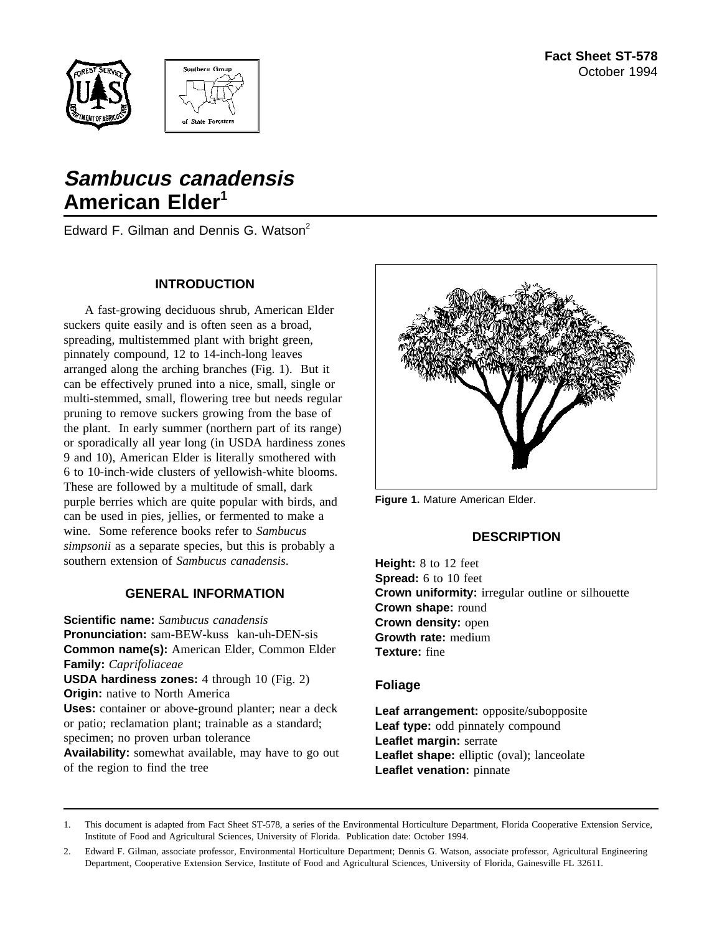



# **Sambucus canadensis American Elder1**

Edward F. Gilman and Dennis G. Watson<sup>2</sup>

## **INTRODUCTION**

A fast-growing deciduous shrub, American Elder suckers quite easily and is often seen as a broad, spreading, multistemmed plant with bright green, pinnately compound, 12 to 14-inch-long leaves arranged along the arching branches (Fig. 1). But it can be effectively pruned into a nice, small, single or multi-stemmed, small, flowering tree but needs regular pruning to remove suckers growing from the base of the plant. In early summer (northern part of its range) or sporadically all year long (in USDA hardiness zones 9 and 10), American Elder is literally smothered with 6 to 10-inch-wide clusters of yellowish-white blooms. These are followed by a multitude of small, dark purple berries which are quite popular with birds, and can be used in pies, jellies, or fermented to make a wine. Some reference books refer to *Sambucus simpsonii* as a separate species, but this is probably a southern extension of *Sambucus canadensis*.

# **GENERAL INFORMATION**

**Scientific name:** *Sambucus canadensis* **Pronunciation:** sam-BEW-kuss kan-uh-DEN-sis **Common name(s):** American Elder, Common Elder **Family:** *Caprifoliaceae* **USDA hardiness zones:** 4 through 10 (Fig. 2) **Origin:** native to North America **Uses:** container or above-ground planter; near a deck or patio; reclamation plant; trainable as a standard; specimen; no proven urban tolerance **Availability:** somewhat available, may have to go out of the region to find the tree



**Figure 1.** Mature American Elder.

# **DESCRIPTION**

**Height:** 8 to 12 feet **Spread:** 6 to 10 feet **Crown uniformity:** irregular outline or silhouette **Crown shape:** round **Crown density:** open **Growth rate:** medium **Texture:** fine

## **Foliage**

**Leaf arrangement:** opposite/subopposite Leaf type: odd pinnately compound **Leaflet margin:** serrate Leaflet shape: elliptic (oval); lanceolate **Leaflet venation:** pinnate

1. This document is adapted from Fact Sheet ST-578, a series of the Environmental Horticulture Department, Florida Cooperative Extension Service, Institute of Food and Agricultural Sciences, University of Florida. Publication date: October 1994.

<sup>2.</sup> Edward F. Gilman, associate professor, Environmental Horticulture Department; Dennis G. Watson, associate professor, Agricultural Engineering Department, Cooperative Extension Service, Institute of Food and Agricultural Sciences, University of Florida, Gainesville FL 32611.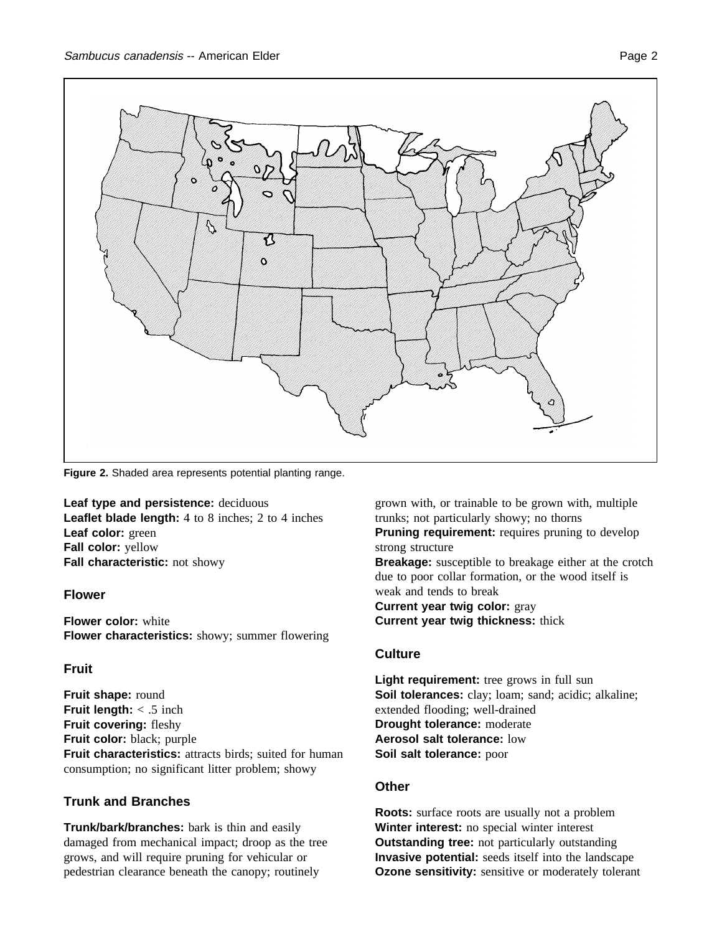

**Figure 2.** Shaded area represents potential planting range.

**Leaf type and persistence:** deciduous **Leaflet blade length:** 4 to 8 inches; 2 to 4 inches **Leaf color:** green **Fall color:** yellow **Fall characteristic:** not showy

## **Flower**

**Flower color:** white **Flower characteristics:** showy; summer flowering

# **Fruit**

**Fruit shape:** round **Fruit length:** < .5 inch **Fruit covering:** fleshy **Fruit color:** black; purple **Fruit characteristics:** attracts birds; suited for human consumption; no significant litter problem; showy

# **Trunk and Branches**

**Trunk/bark/branches:** bark is thin and easily damaged from mechanical impact; droop as the tree grows, and will require pruning for vehicular or pedestrian clearance beneath the canopy; routinely

grown with, or trainable to be grown with, multiple trunks; not particularly showy; no thorns

**Pruning requirement:** requires pruning to develop strong structure

**Breakage:** susceptible to breakage either at the crotch due to poor collar formation, or the wood itself is weak and tends to break

**Current year twig color:** gray **Current year twig thickness:** thick

# **Culture**

**Light requirement:** tree grows in full sun **Soil tolerances:** clay; loam; sand; acidic; alkaline; extended flooding; well-drained **Drought tolerance:** moderate **Aerosol salt tolerance:** low **Soil salt tolerance:** poor

# **Other**

**Roots:** surface roots are usually not a problem **Winter interest:** no special winter interest **Outstanding tree:** not particularly outstanding **Invasive potential:** seeds itself into the landscape **Ozone sensitivity:** sensitive or moderately tolerant